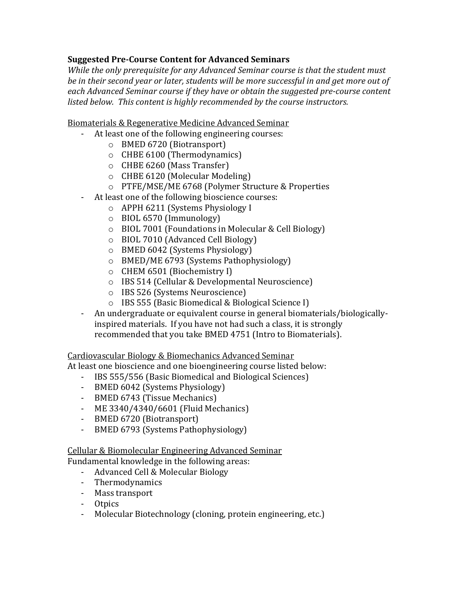## **Suggested Pre-Course Content for Advanced Seminars**

*While the only prerequisite for any Advanced Seminar course is that the student must*  be in their second year or later, students will be more successful in and get more out of *each Advanced Seminar course if they have or obtain the suggested pre-course content listed below. This content is highly recommended by the course instructors.*

Biomaterials & Regenerative Medicine Advanced Seminar

- At least one of the following engineering courses:
	- o BMED 6720 (Biotransport)
	- o CHBE 6100 (Thermodynamics)
	- o CHBE 6260 (Mass Transfer)
	- o CHBE 6120 (Molecular Modeling)
	- o PTFE/MSE/ME 6768 (Polymer Structure & Properties
- At least one of the following bioscience courses:
	- o APPH 6211 (Systems Physiology I
	- o BIOL 6570 (Immunology)
	- o BIOL 7001 (Foundations in Molecular & Cell Biology)
	- o BIOL 7010 (Advanced Cell Biology)
	- o BMED 6042 (Systems Physiology)
	- o BMED/ME 6793 (Systems Pathophysiology)
	- o CHEM 6501 (Biochemistry I)
	- o IBS 514 (Cellular & Developmental Neuroscience)
	- o IBS 526 (Systems Neuroscience)
	- o IBS 555 (Basic Biomedical & Biological Science I)
- An undergraduate or equivalent course in general biomaterials/biologicallyinspired materials. If you have not had such a class, it is strongly recommended that you take BMED 4751 (Intro to Biomaterials).

Cardiovascular Biology & Biomechanics Advanced Seminar

At least one bioscience and one bioengineering course listed below:

- IBS 555/556 (Basic Biomedical and Biological Sciences)
- BMED 6042 (Systems Physiology)
- BMED 6743 (Tissue Mechanics)
- ME 3340/4340/6601 (Fluid Mechanics)
- BMED 6720 (Biotransport)
- BMED 6793 (Systems Pathophysiology)

Cellular & Biomolecular Engineering Advanced Seminar

Fundamental knowledge in the following areas:

- Advanced Cell & Molecular Biology
- Thermodynamics
- Mass transport
- Otpics
- Molecular Biotechnology (cloning, protein engineering, etc.)